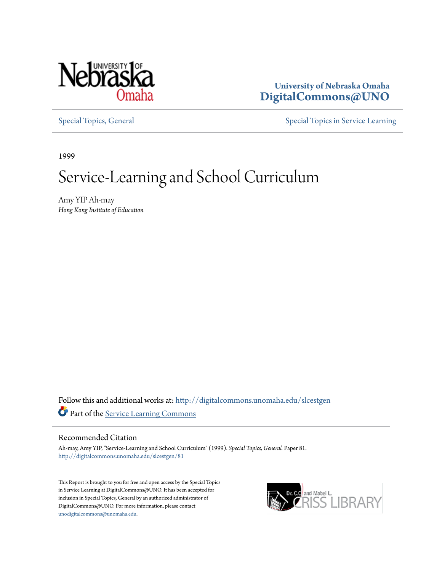

## **University of Nebraska Omaha [DigitalCommons@UNO](http://digitalcommons.unomaha.edu?utm_source=digitalcommons.unomaha.edu%2Fslcestgen%2F81&utm_medium=PDF&utm_campaign=PDFCoverPages)**

[Special Topics, General](http://digitalcommons.unomaha.edu/slcestgen?utm_source=digitalcommons.unomaha.edu%2Fslcestgen%2F81&utm_medium=PDF&utm_campaign=PDFCoverPages) [Special Topics in Service Learning](http://digitalcommons.unomaha.edu/slcespecialtopics?utm_source=digitalcommons.unomaha.edu%2Fslcestgen%2F81&utm_medium=PDF&utm_campaign=PDFCoverPages)

1999

# Service-Learning and School Curriculum

Amy YIP Ah-may *Hong Kong Institute of Education*

Follow this and additional works at: [http://digitalcommons.unomaha.edu/slcestgen](http://digitalcommons.unomaha.edu/slcestgen?utm_source=digitalcommons.unomaha.edu%2Fslcestgen%2F81&utm_medium=PDF&utm_campaign=PDFCoverPages) Part of the [Service Learning Commons](http://network.bepress.com/hgg/discipline/1024?utm_source=digitalcommons.unomaha.edu%2Fslcestgen%2F81&utm_medium=PDF&utm_campaign=PDFCoverPages)

#### Recommended Citation

Ah-may, Amy YIP, "Service-Learning and School Curriculum" (1999). *Special Topics, General.* Paper 81. [http://digitalcommons.unomaha.edu/slcestgen/81](http://digitalcommons.unomaha.edu/slcestgen/81?utm_source=digitalcommons.unomaha.edu%2Fslcestgen%2F81&utm_medium=PDF&utm_campaign=PDFCoverPages)

This Report is brought to you for free and open access by the Special Topics in Service Learning at DigitalCommons@UNO. It has been accepted for inclusion in Special Topics, General by an authorized administrator of DigitalCommons@UNO. For more information, please contact [unodigitalcommons@unomaha.edu](mailto:unodigitalcommons@unomaha.edu).

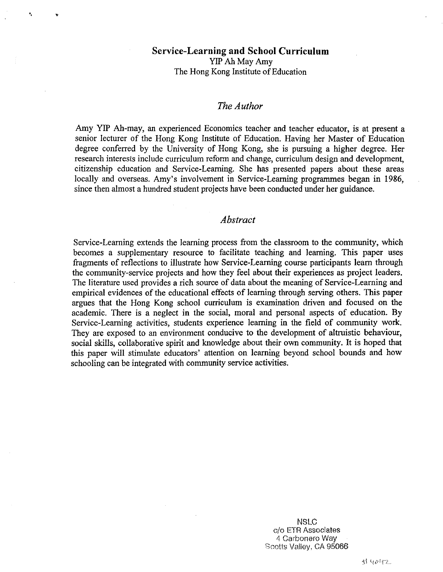## **Service-Learning and School Curriculum**  YIP Ah May Amy The Hong Kong Institute of Education

.. "'

## *The Author*

Amy YIP Ah-may, an experienced Economics teacher and teacher educator, is at present a senior lecturer of the Hong Kong Institute of Education. Having her Master of Education degree conferred by the University of Hong Kong, she is pursuing a higher degree. Her research interests include curriculum reform and change, curriculum design and development, citizenship education and Service-Learning. She has presented papers about these areas locally and overseas. Amy's involvement in Service-Learning programmes began in 1986, since then almost a hundred student projects have been conducted under her guidance.

## *Abstract*

Service-Learning extends the learning process from the classroom to the community, which becomes a supplementary resource to facilitate teaching and learning. This paper uses fragments of reflections to illustrate how Service-Learning course participants learn through the community-service projects and how they feel about their experiences as project leaders. The literature used provides a rich source of data about the meaning of Service-Learning and empirical evidences of the educational effects of learning through serving others. This paper argues that the Hong Kong school curriculum is examination driven and focused on the academic. There is a neglect in the social, moral and personal aspects of education. By Service-Learning activities, students experience learning in the field of community work. They are exposed to an environment conducive to the development of altruistic behaviour, social skills, collaborative spirit and knowledge about their own community. It is hoped that this paper will stimulate educators' attention on learning beyond school bounds and how schooling can be integrated with community service activities.

> NSLC c/o ETR Associates 4 Carbonaro Way Scotis Valley, CA 95066

> > 付 4042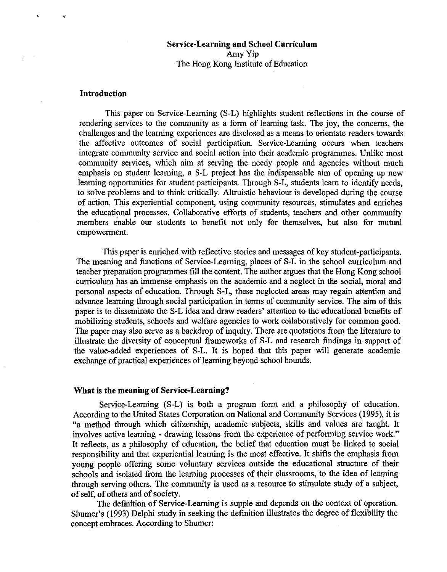## Service-Learning and School Curriculum Amy Yip The Hong Kong Institute of Education

#### Introduction

•

¥

This paper on Service-Learning (S-L) highlights student reflections in the course of rendering services to the community as a form of learning task. The joy, the concerns, the challenges and the learning experiences are disclosed as a means to orientate readers towards the affective outcomes of social participation. Service-Learning occurs when teachers integrate community service and social action into their academic programmes. Unlike most community services, which aim at serving the needy people and agencies without much emphasis on student learning, a S-L project has the indispensable aim of opening up new learning opportunities for student participants. Through S-L, students learn to identify needs, to solve problems and to think critically. Altruistic behaviour is developed during the course of action. This experiential component, using community resources, stimulates and enriches the educational processes. Collaborative efforts of students, teachers and other community members enable our students to benefit not only for themselves, but also for mutual empowerment.

This paper is enriched with reflective stories and messages of key student-participants. The meaning and functions of Service-Learning, places of S-L in the school curriculum and teacher preparation programmes fill the content. The author argues that the Hong Kong school curriculum has an immense emphasis on the academic and a neglect in the social, moral and personal aspects of education. Through S-L, these neglected areas may regain attention and advance learning through social participation in terms of community service. The aim of this paper is to disseminate the S-L idea and draw readers' attention to the educational benefits of mobilizing students, schools and welfare agencies to work collaboratively for common good. The paper may also serve as a backdrop of inquiry. There are quotations from the literature to illustrate the diversity of conceptual frameworks of S-L and research findings in support of the value-added experiences of S-L. It is hoped that this paper will generate academic exchange of practical experiences of learning beyond school bounds.

#### What is the meaning of Service-Learning?

Service-Learning (S-L) is both a program form and a philosophy of education. According to the United States Corporation on National and Community Services (1995), it is "a method through which citizenship, academic subjects, skills and values are taught. It involves active learning - drawing lessons from the experience of performing service work." It reflects, as a philosophy of education, the belief that education must be linked to social responsibility and that experiential learning is the most effective. It shifts the emphasis from young people offering some voluntary services outside the educational structure of their schools and isolated from the learning processes of their classrooms, to the idea of learning through serving others. The community is used as a resource to stimulate study of a subject, of self, of others and of society.

The definition of Service-Learning is supple and depends on the context of operation. Shumer's (1993) Delphi study in seeking the definition illustrates the degree of flexibility the concept embraces. According to Shumer: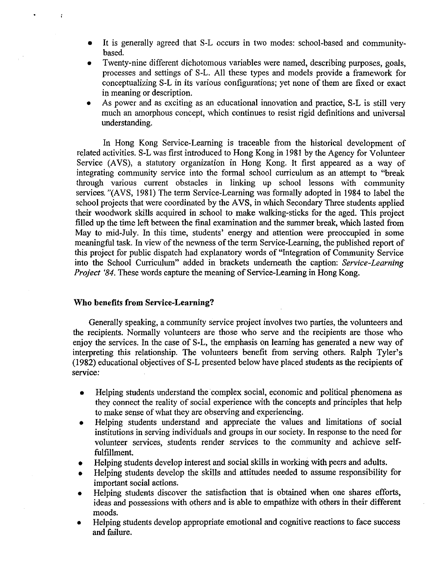- It is generally agreed that S-L occurs in two modes: school-based and communitybased.
- Twenty-nine different dichotomous variables were named, describing purposes, goals, processes and settings of S-L. All these types and models provide a framework for conceptualizing S-L in its various configurations; yet none of them are fixed or exact in meaning or description.
- As power and as exciting as an educational innovation and practice, S-L is still very much an amorphous concept, which continues to resist rigid definitions and universal understanding.

In Hong Kong Service-Learning is traceable from the historical development of related activities. S-L was first introduced to Hong Kong in 1981 by the Agency for Volunteer Service (AVS), a statutory organization in Hong Kong. It first appeared as a way of integrating community service into the formal school curriculum as an attempt to "break through various current obstacles in linking up school lessons with community services. "(AVS, 1981) The term Service-Learning was formally adopted in 1984 to label the school projects that were coordinated by the AVS, in which Secondary Three students applied their woodwork skills acquired in school to make walking-sticks for the aged. This project filled up the time left between the final examination and the summer break, which lasted from May to mid-July. In this time, students' energy and attention were preoccupied in some meaningful task. In view of the newness of the term Service-Learning, the published report of this project for public dispatch had explanatory words of "Integration of Community Service into the School Curriculum" added in brackets underneath the caption: *Service-Learning Project '84.* These words capture the meaning of Service-Learning in Hong Kong.

#### **Who benefits from Service-Learning?**

Generally speaking, a community service project involves two parties, the volunteers and the recipients. Normally volunteers are those who serve and the recipients are those who enjoy the services. In the case of S-L, the emphasis on learning has generated a new way of interpreting this relationship. The volunteers benefit from serving others. Ralph Tyler's (1982) educational objectives of S-L presented below have placed students as the recipients of service:

- Helping students understand the complex social, economic and political phenomena as they connect the reality of social experience with the concepts and principles that help to make sense of what they are observing and experiencing.
- Helping students understand and appreciate the values and limitations of social institutions in serving individuals and groups in our society. In response to the need for volunteer services, students render services to the community and achieve selffulfillment.
- Helping students develop interest and social skills in working with peers and adults.
- Helping students develop the skills and attitudes needed to assume responsibility for important social actions.
- Helping students discover the satisfaction that is obtained when one shares efforts, ideas and possessions with others and is able to empathize with others in their different moods.
- Helping students develop appropriate emotional and cognitive reactions to face success and failure.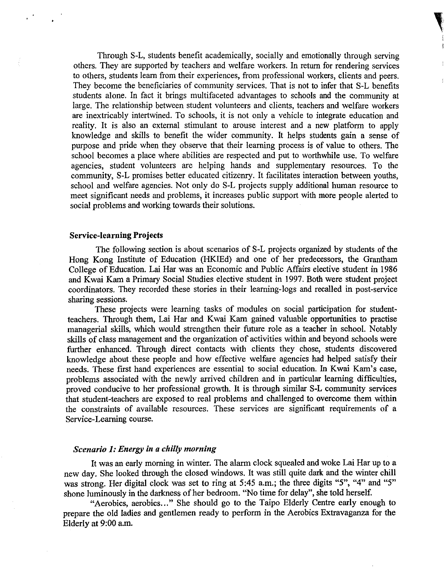Through S-L, students benefit academically, socially and emotionally through serving others. They are supported by teachers and welfare workers. In return for rendering services to others, students learn from their experiences, from professional workers, clients and peers. They become the beneficiaries of community services. That is not to infer that S-L benefits students alone. In fact it brings multifaceted advantages to schools and the community at large. The relationship between student volunteers and clients, teachers and welfare workers are inextricably intertwined. To schools, it is not only a vehicle to integrate education and reality. It is also an external stimulant to arouse interest and a new platform to apply knowledge and skills to benefit the wider community. It helps students gain a sense of purpose and pride when they observe that their learning process is of value to others. The school becomes a place where abilities are respected and put to worthwhile use. To welfare agencies, student volunteers are helping hands and supplementary resources. To the community, S-L promises better educated citizenry. It facilitates interaction between youths, school and welfare agencies. Not only do S-L projects supply additional human resource to meet significant needs and problems, it increases public support with more people alerted to social problems and working towards their solutions.

#### Service-learning Projects

The following section is about scenarios of S-L projects organized by students of the Hong Kong Institute of Education (HKIEd) and one of her predecessors, the Grantham College of Education. Lai Har was an Economic and Public Affairs elective student in 1986 and Kwai Kam a Primary Social Studies elective student in 1997. Both were student project coordinators. They recorded these stories in their learning-logs and recalled in post-service sharing sessions.

These projects were learning tasks of modules on social participation for studentteachers. Through them, Lai Har and Kwai Karn gained valuable opportunities to practise managerial skills, which would strengthen their future role as a teacher in school. Notably skills of class management and the organization of activities within and beyond schools were further enhanced. Through direct contacts with clients they chose, students discovered knowledge about these people and how effective welfare agencies had helped satisfy their needs. These first hand experiences are essential to social education. In Kwai Kam's case, problems associated with the newly arrived children and in particular learning difficulties, proved conducive to her professional growth. It is through similar S-L community services that student-teachers are exposed to real problems and challenged to overcome them within the constraints of available resources. These services are significant requirements of a Service-Learning course.

## *Scenario 1: Energy in a chilly morning*

It was an early morning in winter. The alarm clock squealed and woke Lai Har up to a new day. She looked through the closed windows. It was still quite dark and the winter chill was strong. Her digital clock was set to ring at 5:45 a.m.; the three digits "5", "4" and "5" shone luminously in the darkness of her bedroom. "No time for delay", she told herself.

"Aerobics, aerobics ... " She should go to the Taipo Elderly Centre early enough to prepare the old ladies and gentlemen ready to perform in the Aerobics Extravaganza for the Elderly at 9:00 a.m.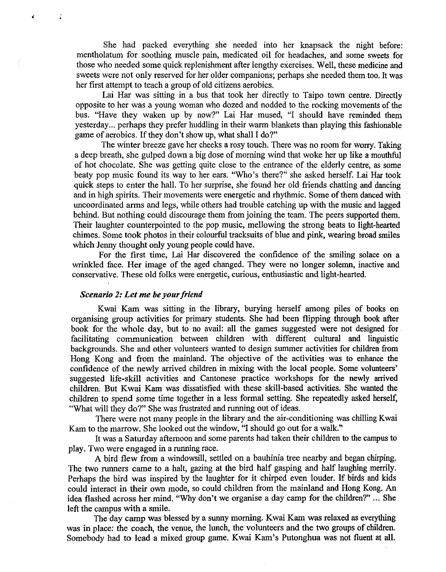She had packed everything she needed into her knapsack the night before: mentholatum for soothing muscle pain, medicated oil for headaches, and some sweets for those who needed some quick replenishment after lengthy exercises. Well, these medicine and sweets were not only reserved for her older companions; perhaps she needed them too. It was her first attempt to teach a group of old citizens aerobics.

Lai Har was sitting in a bus that took her directly to Taipo town centre. Directly opposite to her was a young woman who dozed and nodded to the rocking movements of the bus. "Have they waken up by now?" Lai Har mused, "I should have reminded them yesterday ... perhaps they prefer huddling in their warm blankets than playing this fashionable game of aerobics. If they don't show up, what shall I do?"

The winter breeze gave her cheeks a rosy touch. There was no room for worry. Taking a deep breath, she gulped down a big dose of morning wind that woke her up like a mouthful of hot chocolate. She was getting quite close to the entrance of the elderly centre, as some beaty pop music found its way to her ears. "Who's there?" she asked herself. Lai Har took quick steps to enter the hall. To her surprise, she found her old friends chatting and dancing and in high spirits. Their movements were energetic and rhythmic. Some of them danced with uncoordinated arms and legs, while others had trouble catching up with the music and lagged behind. But nothing could discourage them from joining the team. The peers supported them. Their laughter counterpointed to the pop music, mellowing the strong beats to light-hearted chimes. Some took photos in their colourful tracksuits of blue and pink, wearing broad smiles which Jenny thought only young people could have.

For the first time, Lai Har discovered the confidence of the smiling solace on a wrinkled face. Her image of the aged changed. They were no longer solemn, inactive and conservative. These old folks were energetic, curious, enthusiastic and light-hearted.

#### *Scenario 2: Let me be your friend*

 $\ddot{\cdot}$ 

Kwai Kam was sitting in the library, burying herself among piles of books on organising group activities for primary students. She had been flipping through book after book for the whole day, but to no avail: all the games suggested were not designed for facilitating communication between children with different cultural and linguistic backgrounds. She and other volunteers wanted to design summer activities for children from Hong Kong and from the mainland. The objective of the activities was to enhance the confidence of the newly arrived children in mixing with the local people. Some volunteers' suggested life-skill activities and Cantonese practice workshops for the newly arrived children. But Kwai Kam was dissatisfied with these skill-based activities. She wanted the children to spend some time together in a less formal setting. She repeatedly asked herself, "What will they do?'' She was frustrated and running out of ideas.

There were not many people in the library and the air-conditioning was chilling Kwai Kam to the marrow. She looked out the window, "I should go out for a walk."

It was a Saturday afternoon and some parents had taken their children to the campus to play. Two were engaged in a running race.

A bird flew from a windowsill, settled on a bauhinia tree nearby and began chirping. The two runners came to a halt, gazing at the bird half gasping and half laughing merrily. Perhaps the bird was inspired by the laughter for it chirped even louder. If birds and kids could interact in their own mode, so could children from the mainland and Hong Kong. An idea flashed across her mind. "Why don't we organise a day camp for the children?" ... She left the campus with a smile.

The day camp was blessed by a sunny morning. Kwai Kam was relaxed as everything was in place: the coach, the venue, the lunch, the volunteers and the two groups of children. Somebody had to lead a mixed group game. Kwai Kam's Putonghua was not fluent at all.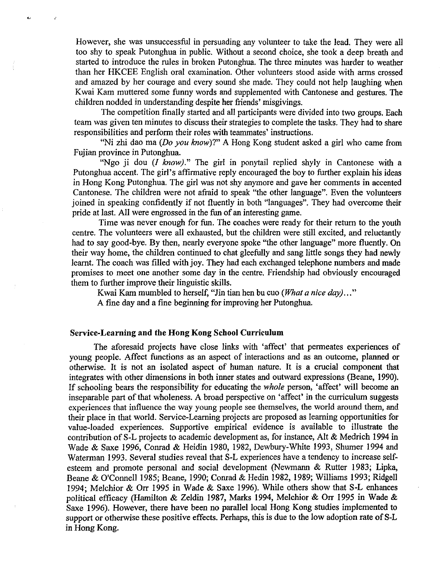However, she was unsuccessful in persuading any volunteer to take the lead. They were all too shy to speak Putonghua in public. Without a second choice, she took a deep breath and started to introduce the rules in broken Putonghua. The three minutes was harder to weather than her HKCEE English oral examination. Other volunteers stood aside with arms crossed and amazed by her courage and every sound she made. They could not help laughing when Kwai Kam muttered some funny words and supplemented with Cantonese and gestures. The children nodded in understanding despite her friends' misgivings.

The competition finally started and all participants were divided into two groups. Each team was given ten minutes to discuss their strategies to complete the tasks. They had to share responsibilities and perform their roles with teammates' instructions.

"Ni zhi dao ma *(Do you know)*?" A Hong Kong student asked a girl who came from Fujian province in Putonghua.

"Ngo ji dou (*I know*)." The girl in ponytail replied shyly in Cantonese with a Putonghua accent. The girl's affirmative reply encouraged the boy to further explain his ideas in Hong Kong Putonghua. The girl was not shy anymore and gave her comments in accented Cantonese. The children were not afraid to speak "the other language". Even the volunteers joined in speaking confidently if not fluently in both "languages". They had overcome their pride at last. All were engrossed in the fun of an interesting game.

Time was never enough for fun. The coaches were ready for their return to the youth centre. The volunteers were all exhausted, but the children were still excited, and reluctantly had to say good-bye. By then, nearly everyone spoke "the other language" more fluently. On their way home, the children continued to chat gleefully and sang little songs they had newly learnt. The coach was filled with joy. They had each exchanged telephone numbers and made promises to meet one another some day in the centre. Friendship had obviously encouraged them to further improve their linguistic skills.

K wai Kam mumbled to herself, "Jin tian hen bu cuo *(What a nice day) ... "* 

A fine day and a fine beginning for improving her Putonghua.

## Service-Learning and the Hong Kong School Curriculum

..

The aforesaid projects have close links with 'affect' that permeates experiences of young people. Affect functions as an aspect of interactions and as an outcome, planned or otherwise. It is not an isolated aspect of human nature. It is a crucial component that integrates with other dimensions in both inner states and outward expressions (Beane, 1990). If schooling bears the responsibility for educating the *whole* person, 'affect' will become an inseparable part of that wholeness. A broad perspective on 'affect' in the curriculum suggests experiences that influence the way young people see themselves, the world around them, and their place in that world. Service-Learning projects are proposed as learning opportunities for value-loaded experiences. Supportive empirical evidence is available to illustrate the contribution of S-L projects to academic development as, for instance, Alt & Medrich 1994 in Wade & Saxe 1996, Comad & Heidin 1980, 1982, Dewbury-White 1993, Shumer 1994 and Waterman 1993. Several studies reveal that S-L experiences have a tendency to increase selfesteem and promote personal and social development (Newmann & Rutter 1983; Lipka, Beane & O'Connell 1985; Beane, 1990; Conrad & Hedin 1982, 1989; Williams 1993; Ridgell 1994; Melchior & Orr 1995 in Wade & Saxe 1996). While others show that S-L enhances political efficacy (Hamilton & Zeldin 1987, Marks 1994, Melchior & Orr 1995 in Wade & Saxe 1996). However, there have been no parallel local Hong Kong studies implemented to support or otherwise these positive effects. Perhaps, this is due to the low adoption rate of S-L in Hong Kong.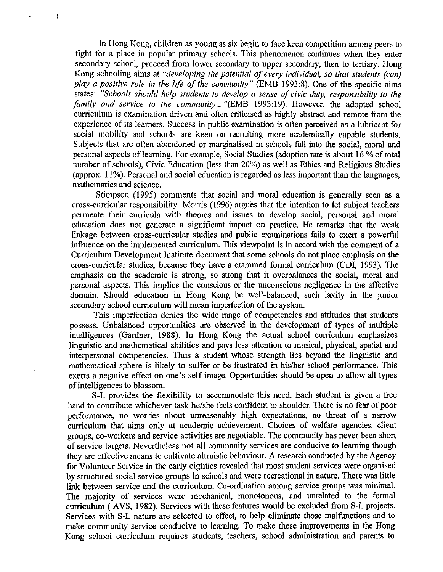In Hong Kong, children as young as six begin to face keen competition among peers to fight for a place in popular primary schools. This phenomenon continues when they enter secondary school, proceed from lower secondary to upper secondary, then to tertiary. Hong Kong schooling aims at *"developing the potential of every individual, so that students (can) play a positive role in the life of the community"* (EMB 1993:8). One of the specific aims states: *"Schools should help students to develop a sense of civic duty, responsibility to the family and service to the community ...* "(EMB 1993:19). However, the adopted school curriculum is examination driven and often criticised as highly abstract and remote from the experience of its learners. Success in public examination is often perceived as a lubricant for social mobility and schools are keen on recruiting more academically capable students. Subjects that are often abandoned or marginalised in schools fall into the social, moral and personal aspects of learning. For example, Social Studies (adoption rate is about 16% of total number of schools), Civic Education (less than 20%) as well as Ethics and Religious Studies ( approx. 11% ). Personal and social education is regarded as less important than the languages, mathematics and science.

Stimpson (1995) comments that social and moral education is generally seen as a cross-curricular responsibility. Morris (1996) argues that the intention to let subject teachers permeate their curricula with themes and issues to develop social, personal and moral education does not generate a significant impact on practice. He remarks that the weak linkage between cross-curricular studies and public examinations fails to exert a powerful influence on the implemented curriculum. This viewpoint is in accord with the comment of a Curriculum Development Institute document that some schools do not place emphasis on the cross-curricular studies, because they have a cranuned formal curriculum (CDI, 1993). The emphasis on the academic is strong, so strong that it overbalances the social, moral and personal aspects. This implies the conscious or the unconscious negligence in the affective domain. Should education in Hong Kong be well-balanced, such laxity in the junior secondary school curriculum will mean imperfection of the system.

This imperfection denies the wide range of competencies and attitudes that students possess. Unbalanced opportunities are observed in the development of types of multiple intelligences (Gardner, 1988). In Hong Kong the actual school curriculum emphasizes linguistic and mathematical abilities and pays less attention to musical, physical, spatial and interpersonal competencies. Thus a student whose strength lies beyond the linguistic and mathematical sphere is likely to suffer or be frustrated in his/her school performance. This exerts a negative effect on one's self-image. Opportunities should be open to allow all types of intelligences to blossom.

S-L provides the flexibility to accommodate this need. Each student is given a free hand to contribute whichever task he/she feels confident to shoulder. There is no fear of poor performance, no worries about unreasonably high expectations, no threat of a narrow curriculum that aims only at academic achievement. Choices of welfare agencies, client groups, co-workers and service activities are negotiable. The community has never been short of service targets. Nevertheless not all community services are conducive to learning though they are effective means to cultivate altruistic behaviour. A research conducted by the Agency for Volunteer Service in the early eighties revealed that most student services were organised by structured social service groups in schools and were recreational in nature. There was little link between service and the curriculum. Co-ordination among service groups was minimal. The majority of services were mechanical, monotonous, and unrelated to the formal curriculum ( A VS, 1982). Services with these features would be excluded from S-L projects. Services with S-L nature are selected to effect, to help eliminate those malfunctions and to make community service conducive to learning. To make these improvements in the Hong Kong school curriculum requires students, teachers, school administration and parents to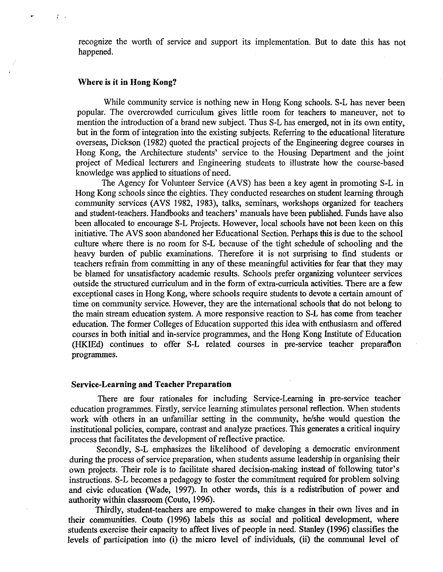recognize the worth of service and support its implementation. But to date this has not happened.

#### **Where is it in Hong Kong?**

 $\frac{1}{4}$  ,  $\frac{1}{2}$ 

While community service is nothing new in Hong Kong schools. S-L has never been popular. The overcrowded curriculum gives little room for teachers to maneuver, not to mention the introduction of a brand new subject. Thus S-L has emerged, not in its own entity, but in the form of integration into the existing subjects. Referring to the educational literature overseas, Dickson (1982) quoted the practical projects of the Engineering degree courses in Hong Kong, the Architecture students' service to the Housing Department and the joint project of Medical lecturers and Engineering students to illustrate how the course-based knowledge was applied to situations of need.

The Agency for Volunteer Service (AVS) has been a key agent in promoting S-L in Hong Kong schools since the eighties. They conducted researches on student learning through community services (AVS 1982, 1983), talks, seminars, workshops organized for teachers and student-teachers. Handbooks and teachers' manuals have been published. Funds have also been allocated to encourage S-L Projects. However, local schools have not been keen on this initiative. The AVS soon abandoned her Educational Section. Perhaps this is due to the school culture where there is no room for S-L because of the tight schedule of schooling and the heavy burden of public examinations. Therefore it is not surprising to find students or teachers refrain from committing in any of these meaningful activities for fear that they may be blamed for unsatisfactory academic results. Schools prefer organizing volunteer services outside the structured curriculum and in the form of extra-curricula activities. There are a few exceptional cases in Hong Kong, where schools require students to devote a certain amount of time on community service. However, they are the international schools that do not belong to the main stream education system. A more responsive reaction to S-L has come from teacher education. The former Colleges of Education supported this idea with enthusiasm and offered courses in both initial and in-service programmes, and the Hong Kong Institute of Education (HKIEd) continues to offer S-L related courses in pre-service teacher preparation programmes.

#### **Service-Learning and Teacher Preparation**

There are four rationales for including Service-Learning in pre-service teacher education programmes. Firstly, service learning stimulates personal reflection. When students work with others in an unfamiliar setting in the community, he/she would question the institutional policies, compare, contrast and analyze practices. This generates a critical inquiry process that facilitates the development of reflective practice.

Secondly, S-L emphasizes the likelihood of developing a democratic environment during the process of service preparation, when students assume leadership in organising their own projects. Their role is to facilitate shared decision-making instead of following tutor's instructions. S-L becomes a pedagogy to foster the commitment required for problem solving and civic education (Wade, 1997). In other words, this is a redistribution of power and authority within classroom (Couto, 1996).

Thirdly, student-teachers are empowered to make changes in their own lives and in their communities. Couto (1996) labels this as social and political development, where students exercise their capacity to affect lives of people in need. Stanley (1996) classifies the levels of participation into **(i)** the micro level of individuals, (ii) the communal level of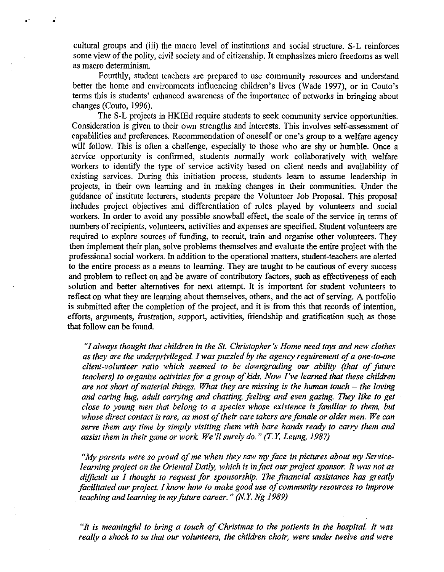cultural groups and (iii) the macro level of institutions and social structure. S-L reinforces some view of the polity, civil society and of citizenship. It emphasizes micro freedoms as well as macro determinism.

.·

Fourthly, student teachers are prepared to use community resources and understand better the home and environments influencing children's lives (Wade 1997), or in Couto's terms this is students' enhanced awareness of the importance of networks in bringing about changes (Couto, 1996).

The S-L projects in HKIEd require students to seek community service opportunities. Consideration is given to their own strengths and interests. This involves self-assessment of capabilities and preferences. Recommendation of oneself or one's group to a welfare agency will follow. This is often a challenge, especially to those who are shy or humble. Once a service opportunity is confirmed, students normally work collaboratively with welfare workers to identify the type of service activity based on client needs and availability of existing services. During this initiation process, students learn to assume leadership in projects, in their own learning and in making changes in their communities. Under the guidance of institute lecturers, students prepare the Volunteer Job Proposal. This proposal includes project objectives and differentiation of roles played by volunteers and social workers. In order to avoid any possible snowball effect, the scale of the service in terms of numbers of recipients, volunteers, activities and expenses are specified. Student volunteers are required to explore sources of funding, to recruit, train and organise other volunteers. They then implement their plan, solve problems themselves and evaluate the entire project with the professional social workers. In addition to the operational matters, student-teachers are alerted to the entire process as a means to learning. They are taught to be cautious of every success and problem to reflect on and be aware of contributory factors, such as effectiveness of each solution and better alternatives for next attempt. It is important for student volunteers to reflect on what they are learning about themselves, others, and the act of serving. A portfolio is submitted after the completion of the project, and it is from this that records of intention, efforts, arguments, frustration, support, activities, friendship and gratification such as those that follow can be found.

*"I always thought that children in the St. Christopher's Home need toys and new clothes as they are the underprivileged I was puzzled by the agency requirement of a one-to-one client-volunteer ratio which seemed to be downgrading our ability (that of future teachers) to organize activities for a group of kids. Now I've learned that these children are not short of material things. What they are missing is the human touch – the loving and caring hug, adult carrying and chatting, feeling and even gazing. They like to get close to young men that belong to a species whose existence is familiar to them, but whose direct contact is rare, as most of their care takers are female or older men. We can serve them any time by simply visiting them with bare hands ready to carry them and assist them in their game or work We'll surely do.* " *(/'. Y. Leung, 1987)* 

*"My parents were so proud of me when they saw my face in pictures about my Servicelearning project on the Oriental Daily, which is in fact our project sponsor. It was not as difficult as I thought to request for sponsorship. The financial assistance has greatly facilitated our project. I know how to make good use of community resources to improve teaching and learning in my future career.* " *(N.Y. Ng 1989)* 

*"It is meaningful to bring a touch of Christmas to the patients in the hospital. It was really a shock to us that our volunteers, the children choir, were under twelve and were*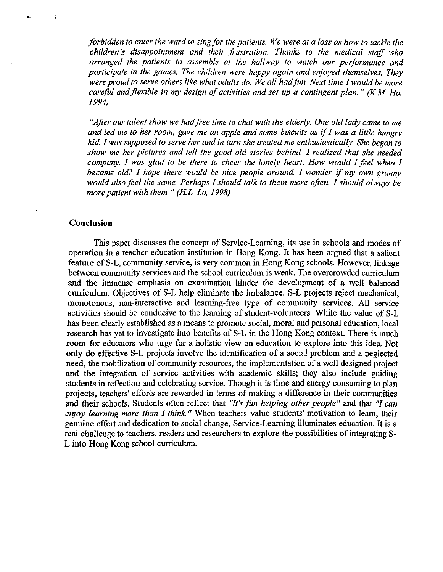*forbidden to enter the ward to sing for the patients. We were at a loss as how to tackle the children's disappointment and their frustration. Thanks to the medical staff who arranged the patients to assemble at the hallway to watch our performance and participate in the games. The children were happy again and enjoyed themselves. They were proud to serve others like what adults do. We all had fun. Next time I would be more careful and flexible in my design of activities and set up a contingent plan.* " *(K.M Ho, I994)* 

*"After our talent show we had free time to chat with the elderly. One old lady came to me and led me to her room, gave me an apple and some biscuits as* if *I was a little hungry kid I was supposed to serve her and in turn she treated me enthusiastically. She began to show me her pictures and tell the good old stories behind I realized that she needed company. I was glad to be there to cheer the lonely heart. How would I feel when I became old? I hope there would be nice people around I wonder* if *my own granny would also feel the same. Perhaps I should talk to them more often. I should always be more patient with them.* " *(HL. Lo, 1998)* 

#### **Conclusion**

This paper discusses the concept of Service-Learning, its use in schools and modes of operation in a teacher education institution in Hong Kong. It has been argued that a salient feature of S-L, community service, is very common in Hong Kong schools. However, linkage between community services and the school curriculum is weak. The overcrowded curriculum and the immense emphasis on examination hinder the development of a well balanced curriculum. Objectives of S-L help eliminate the imbalance. S-L projects reject mechanical, monotonous, non-interactive and learning-free type of community services. All service activities should be conducive to the learning of student-volunteers. While the value of S-L has been clearly established as a means to promote social, moral and personal education, local research has yet to investigate into benefits of S-L in the Hong Kong context. There is much room for educators who urge for a holistic view on education to explore into this idea. Not only do effective S-L projects involve the identification of a social problem and a neglected need, the mobilization of community resources, the implementation of a well designed project and the integration of service activities with academic skills; they also include guiding students in reflection and celebrating service. Though it is time and energy consuming to plan projects, teachers' efforts are rewarded in terms of making a difference in their communities and their schools. Students often reflect that *''It's fun helping other people"* and that *"I can enjoy learning more than I think."* When teachers value students' motivation to learn, their genuine effort and dedication to social change, Service-Learning illuminates education. It is a real challenge to teachers, readers and researchers to explore the possibilities of integrating S-L into Hong Kong school curriculum.